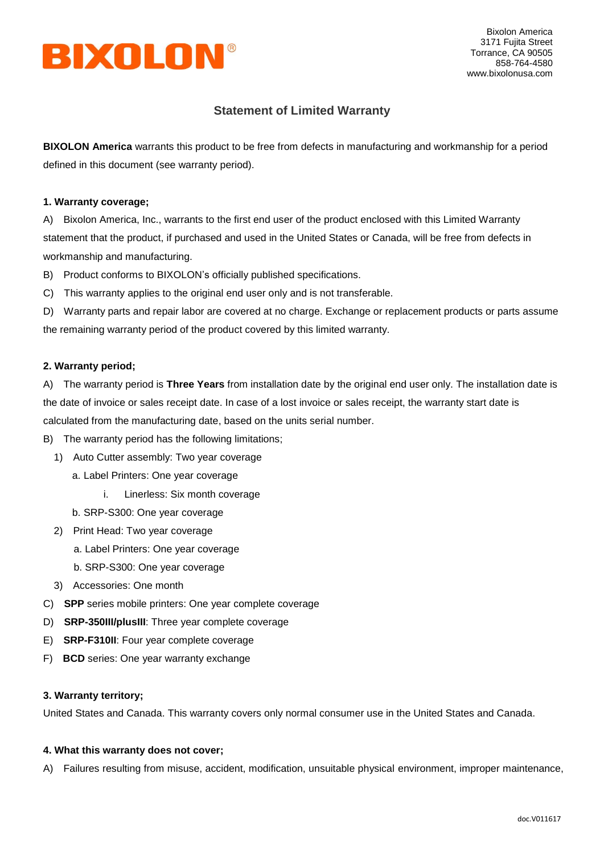

Bixolon America 3171 Fujita Street Torrance, CA 90505 858-764-4580 www.bixolonusa.com

# **Statement of Limited Warranty**

**BIXOLON America** warrants this product to be free from defects in manufacturing and workmanship for a period defined in this document (see warranty period).

### **1. Warranty coverage;**

A) Bixolon America, Inc., warrants to the first end user of the product enclosed with this Limited Warranty statement that the product, if purchased and used in the United States or Canada, will be free from defects in workmanship and manufacturing.

- B) Product conforms to BIXOLON's officially published specifications.
- C) This warranty applies to the original end user only and is not transferable.

D) Warranty parts and repair labor are covered at no charge. Exchange or replacement products or parts assume the remaining warranty period of the product covered by this limited warranty.

## **2. Warranty period;**

A) The warranty period is **Three Years** from installation date by the original end user only. The installation date is the date of invoice or sales receipt date. In case of a lost invoice or sales receipt, the warranty start date is calculated from the manufacturing date, based on the units serial number.

B) The warranty period has the following limitations;

- 1) Auto Cutter assembly: Two year coverage
	- a. Label Printers: One year coverage
		- i. Linerless: Six month coverage
	- b. SRP-S300: One year coverage
- 2) Print Head: Two year coverage
	- a. Label Printers: One year coverage
	- b. SRP-S300: One year coverage
- 3) Accessories: One month
- C) **SPP** series mobile printers: One year complete coverage
- D) **SRP-350III/plusIII**: Three year complete coverage
- E) **SRP-F310II**: Four year complete coverage
- F) **BCD** series: One year warranty exchange

#### **3. Warranty territory;**

United States and Canada. This warranty covers only normal consumer use in the United States and Canada.

#### **4. What this warranty does not cover;**

A) Failures resulting from misuse, accident, modification, unsuitable physical environment, improper maintenance,